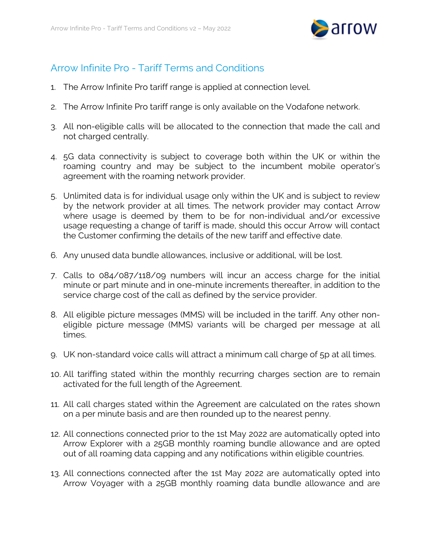

## Arrow Infinite Pro - Tariff Terms and Conditions

- 1. The Arrow Infinite Pro tariff range is applied at connection level.
- 2. The Arrow Infinite Pro tariff range is only available on the Vodafone network.
- 3. All non-eligible calls will be allocated to the connection that made the call and not charged centrally.
- 4. 5G data connectivity is subject to coverage both within the UK or within the roaming country and may be subject to the incumbent mobile operator's agreement with the roaming network provider.
- 5. Unlimited data is for individual usage only within the UK and is subject to review by the network provider at all times. The network provider may contact Arrow where usage is deemed by them to be for non-individual and/or excessive usage requesting a change of tariff is made, should this occur Arrow will contact the Customer confirming the details of the new tariff and effective date.
- 6. Any unused data bundle allowances, inclusive or additional, will be lost.
- 7. Calls to 084/087/118/09 numbers will incur an access charge for the initial minute or part minute and in one-minute increments thereafter, in addition to the service charge cost of the call as defined by the service provider.
- 8. All eligible picture messages (MMS) will be included in the tariff. Any other noneligible picture message (MMS) variants will be charged per message at all times.
- 9. UK non-standard voice calls will attract a minimum call charge of 5p at all times.
- 10. All tariffing stated within the monthly recurring charges section are to remain activated for the full length of the Agreement.
- 11. All call charges stated within the Agreement are calculated on the rates shown on a per minute basis and are then rounded up to the nearest penny.
- 12. All connections connected prior to the 1st May 2022 are automatically opted into Arrow Explorer with a 25GB monthly roaming bundle allowance and are opted out of all roaming data capping and any notifications within eligible countries.
- 13. All connections connected after the 1st May 2022 are automatically opted into Arrow Voyager with a 25GB monthly roaming data bundle allowance and are